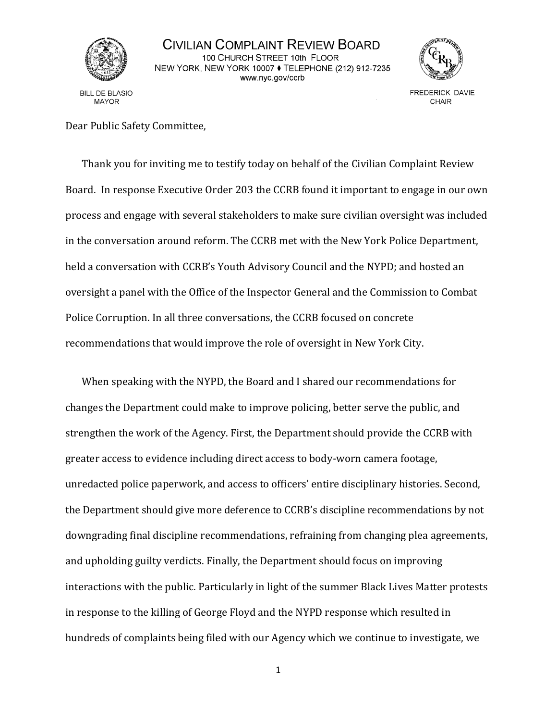

## CIVILIAN COMPLAINT REVIEW BOARD 100 CHURCH STREET 10th FLOOR NEW YORK, NEW YORK 10007 ♦ TELEPHONE (212) 912-7235 www.nyc.gov/ccrb

**BILL DE BLASIO MAYOR** 



**FREDERICK DAVIE** CHAIR

Dear Public Safety Committee,

Thank you for inviting me to testify today on behalf of the Civilian Complaint Review Board. In response Executive Order 203 the CCRB found it important to engage in our own process and engage with several stakeholders to make sure civilian oversight was included in the conversation around reform. The CCRB met with the New York Police Department, held a conversation with CCRB's Youth Advisory Council and the NYPD; and hosted an oversight a panel with the Office of the Inspector General and the Commission to Combat Police Corruption. In all three conversations, the CCRB focused on concrete recommendations that would improve the role of oversight in New York City.

When speaking with the NYPD, the Board and I shared our recommendations for changes the Department could make to improve policing, better serve the public, and strengthen the work of the Agency. First, the Department should provide the CCRB with greater access to evidence including direct access to body-worn camera footage, unredacted police paperwork, and access to officers' entire disciplinary histories. Second, the Department should give more deference to CCRB's discipline recommendations by not downgrading final discipline recommendations, refraining from changing plea agreements, and upholding guilty verdicts. Finally, the Department should focus on improving interactions with the public. Particularly in light of the summer Black Lives Matter protests in response to the killing of George Floyd and the NYPD response which resulted in hundreds of complaints being filed with our Agency which we continue to investigate, we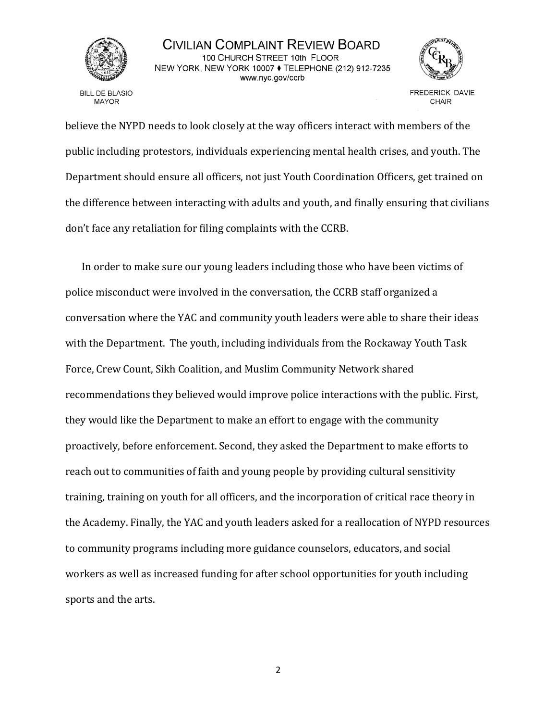

## CIVILIAN COMPLAINT REVIEW BOARD 100 CHURCH STREET 10th FLOOR NEW YORK, NEW YORK 10007 ♦ TELEPHONE (212) 912-7235 www.nyc.gov/ccrb

**BILL DE BLASIO MAYOR** 



**FREDERICK DAVIE** CHAIR

believe the NYPD needs to look closely at the way officers interact with members of the public including protestors, individuals experiencing mental health crises, and youth. The Department should ensure all officers, not just Youth Coordination Officers, get trained on the difference between interacting with adults and youth, and finally ensuring that civilians don't face any retaliation for filing complaints with the CCRB.

In order to make sure our young leaders including those who have been victims of police misconduct were involved in the conversation, the CCRB staff organized a conversation where the YAC and community youth leaders were able to share their ideas with the Department. The youth, including individuals from the Rockaway Youth Task Force, Crew Count, Sikh Coalition, and Muslim Community Network shared recommendations they believed would improve police interactions with the public. First, they would like the Department to make an effort to engage with the community proactively, before enforcement. Second, they asked the Department to make efforts to reach out to communities of faith and young people by providing cultural sensitivity training, training on youth for all officers, and the incorporation of critical race theory in the Academy. Finally, the YAC and youth leaders asked for a reallocation of NYPD resources to community programs including more guidance counselors, educators, and social workers as well as increased funding for after school opportunities for youth including sports and the arts.

2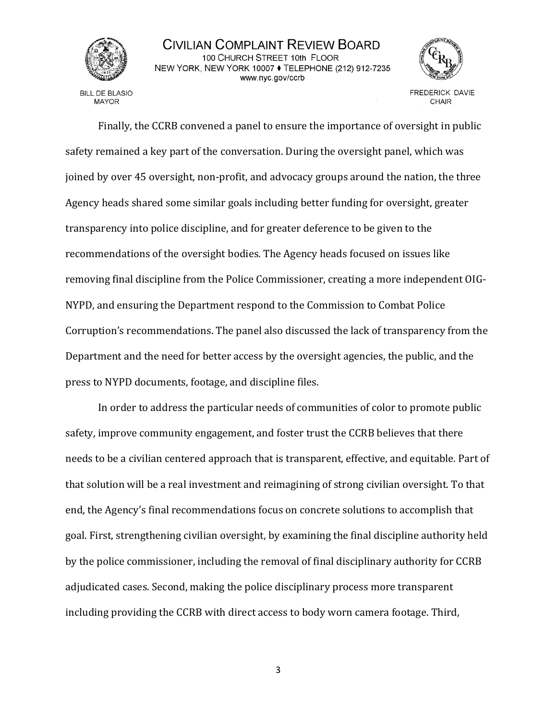

## CIVILIAN COMPLAINT REVIEW BOARD 100 CHURCH STREET 10th FLOOR NEW YORK, NEW YORK 10007 ♦ TELEPHONE (212) 912-7235 www.nyc.gov/ccrb

**BILL DE BLASIO MAYOR** 



CHAIR

Finally, the CCRB convened a panel to ensure the importance of oversight in public safety remained a key part of the conversation. During the oversight panel, which was joined by over 45 oversight, non-profit, and advocacy groups around the nation, the three Agency heads shared some similar goals including better funding for oversight, greater transparency into police discipline, and for greater deference to be given to the recommendations of the oversight bodies. The Agency heads focused on issues like removing final discipline from the Police Commissioner, creating a more independent OIG-NYPD, and ensuring the Department respond to the Commission to Combat Police Corruption's recommendations. The panel also discussed the lack of transparency from the Department and the need for better access by the oversight agencies, the public, and the press to NYPD documents, footage, and discipline files.

In order to address the particular needs of communities of color to promote public safety, improve community engagement, and foster trust the CCRB believes that there needs to be a civilian centered approach that is transparent, effective, and equitable. Part of that solution will be a real investment and reimagining of strong civilian oversight. To that end, the Agency's final recommendations focus on concrete solutions to accomplish that goal. First, strengthening civilian oversight, by examining the final discipline authority held by the police commissioner, including the removal of final disciplinary authority for CCRB adjudicated cases. Second, making the police disciplinary process more transparent including providing the CCRB with direct access to body worn camera footage. Third,

3